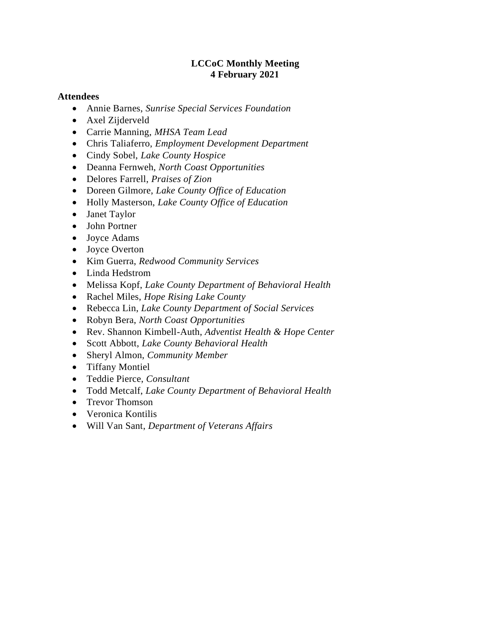## **LCCoC Monthly Meeting 4 February 2021**

### **Attendees**

- Annie Barnes, *Sunrise Special Services Foundation*
- Axel Zijderveld
- Carrie Manning, *MHSA Team Lead*
- Chris Taliaferro, *Employment Development Department*
- Cindy Sobel, *Lake County Hospice*
- Deanna Fernweh, *North Coast Opportunities*
- Delores Farrell, *Praises of Zion*
- Doreen Gilmore, *Lake County Office of Education*
- Holly Masterson, *Lake County Office of Education*
- Janet Taylor
- John Portner
- Joyce Adams
- Joyce Overton
- Kim Guerra, *Redwood Community Services*
- Linda Hedstrom
- Melissa Kopf, *Lake County Department of Behavioral Health*
- Rachel Miles, *Hope Rising Lake County*
- Rebecca Lin, *Lake County Department of Social Services*
- Robyn Bera, *North Coast Opportunities*
- Rev. Shannon Kimbell-Auth, *Adventist Health & Hope Center*
- Scott Abbott, *Lake County Behavioral Health*
- Sheryl Almon, *Community Member*
- Tiffany Montiel
- Teddie Pierce, *Consultant*
- Todd Metcalf, *Lake County Department of Behavioral Health*
- Trevor Thomson
- Veronica Kontilis
- Will Van Sant, *Department of Veterans Affairs*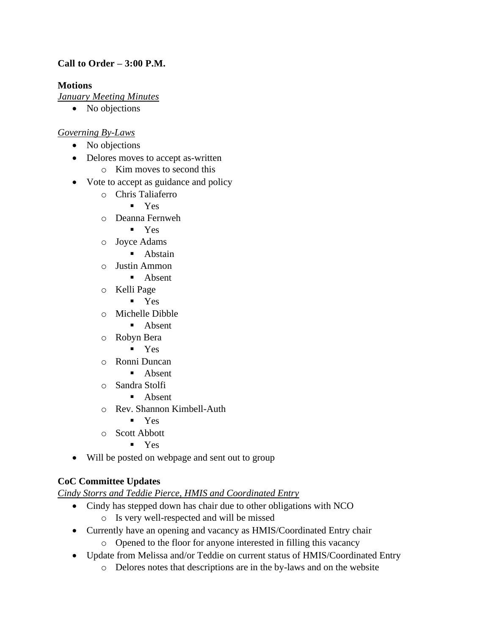# **Call to Order – 3:00 P.M.**

## **Motions**

*January Meeting Minutes*

• No objections

## *Governing By-Laws*

- No objections
- Delores moves to accept as-written
	- o Kim moves to second this
- Vote to accept as guidance and policy
	- o Chris Taliaferro
		- $\blacksquare$  Yes
		- o Deanna Fernweh
			- Yes
		- o Joyce Adams
			- Abstain
		- o Justin Ammon
			- Absent
		- o Kelli Page
			- Yes
		- o Michelle Dibble
			- Absent
		- o Robyn Bera
			- Yes
		- o Ronni Duncan
			- Absent
		- o Sandra Stolfi
			- Absent
		- o Rev. Shannon Kimbell-Auth
			- $\blacksquare$  Yes
		- o Scott Abbott
			- Yes
- Will be posted on webpage and sent out to group

# **CoC Committee Updates**

*Cindy Storrs and Teddie Pierce, HMIS and Coordinated Entry*

- Cindy has stepped down has chair due to other obligations with NCO
	- o Is very well-respected and will be missed
- Currently have an opening and vacancy as HMIS/Coordinated Entry chair
	- o Opened to the floor for anyone interested in filling this vacancy
- Update from Melissa and/or Teddie on current status of HMIS/Coordinated Entry
	- o Delores notes that descriptions are in the by-laws and on the website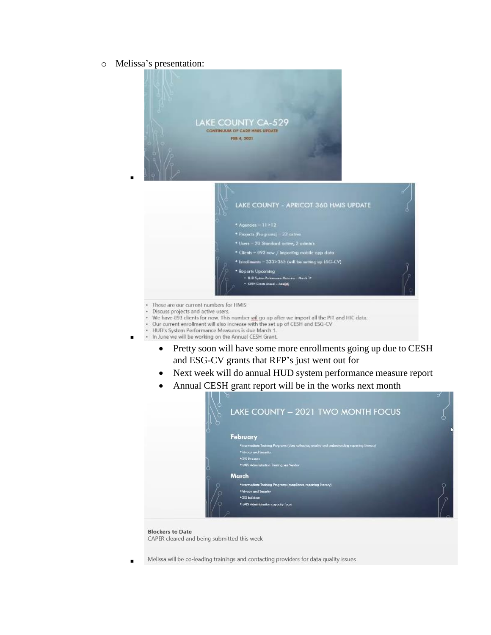o Melissa's presentation:

▪



- ٠ Discuss projects and active users.
- We have 893 clients for now. This number will go up after we import all the PIT and HIC data.<br>• Our current enrollment will also increase with the set up of CESH and ESG-CV
- 
- ä. HUD's System Performance Measures is due March 1.
- . In June we will be working on the Annual CESH Grant. ▪
	- Pretty soon will have some more enrollments going up due to CESH and ESG-CV grants that RFP's just went out for
	- Next week will do annual HUD system performance measure report
	- Annual CESH grant report will be in the works next month



#### **Blockers to Date**

CAPER cleared and being submitted this week

Melissa will be co-leading trainings and contacting providers for data quality issues ▪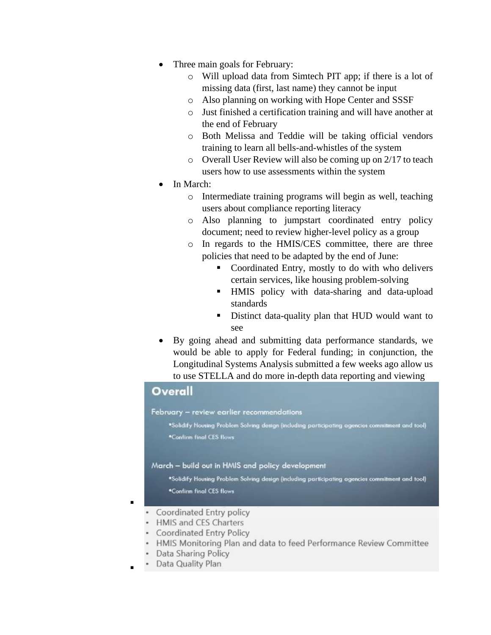- Three main goals for February:
	- o Will upload data from Simtech PIT app; if there is a lot of missing data (first, last name) they cannot be input
	- o Also planning on working with Hope Center and SSSF
	- o Just finished a certification training and will have another at the end of February
	- o Both Melissa and Teddie will be taking official vendors training to learn all bells-and-whistles of the system
	- o Overall User Review will also be coming up on 2/17 to teach users how to use assessments within the system
- In March:
	- o Intermediate training programs will begin as well, teaching users about compliance reporting literacy
	- o Also planning to jumpstart coordinated entry policy document; need to review higher-level policy as a group
	- o In regards to the HMIS/CES committee, there are three policies that need to be adapted by the end of June:
		- Coordinated Entry, mostly to do with who delivers certain services, like housing problem-solving
		- **.** HMIS policy with data-sharing and data-upload standards
		- Distinct data-quality plan that HUD would want to see
- By going ahead and submitting data performance standards, we would be able to apply for Federal funding; in conjunction, the Longitudinal Systems Analysis submitted a few weeks ago allow us

to use STELLA and do more in-depth data reporting and viewing



- HMIS and CES Charters
- Coordinated Entry Policy
- HMIS Monitoring Plan and data to feed Performance Review Committee
- Data Sharing Policy
- Data Quality Plan

▪

▪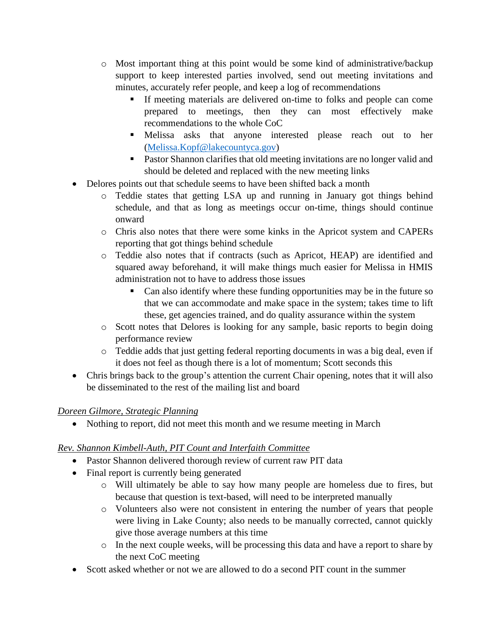- o Most important thing at this point would be some kind of administrative/backup support to keep interested parties involved, send out meeting invitations and minutes, accurately refer people, and keep a log of recommendations
	- If meeting materials are delivered on-time to folks and people can come prepared to meetings, then they can most effectively make recommendations to the whole CoC
	- Melissa asks that anyone interested please reach out to her [\(Melissa.Kopf@lakecountyca.gov\)](mailto:Melissa.Kopf@lakecountyca.gov)
	- Pastor Shannon clarifies that old meeting invitations are no longer valid and should be deleted and replaced with the new meeting links
- Delores points out that schedule seems to have been shifted back a month
	- o Teddie states that getting LSA up and running in January got things behind schedule, and that as long as meetings occur on-time, things should continue onward
	- o Chris also notes that there were some kinks in the Apricot system and CAPERs reporting that got things behind schedule
	- o Teddie also notes that if contracts (such as Apricot, HEAP) are identified and squared away beforehand, it will make things much easier for Melissa in HMIS administration not to have to address those issues
		- Can also identify where these funding opportunities may be in the future so that we can accommodate and make space in the system; takes time to lift these, get agencies trained, and do quality assurance within the system
	- o Scott notes that Delores is looking for any sample, basic reports to begin doing performance review
	- o Teddie adds that just getting federal reporting documents in was a big deal, even if it does not feel as though there is a lot of momentum; Scott seconds this
- Chris brings back to the group's attention the current Chair opening, notes that it will also be disseminated to the rest of the mailing list and board

# *Doreen Gilmore, Strategic Planning*

• Nothing to report, did not meet this month and we resume meeting in March

# *Rev. Shannon Kimbell-Auth, PIT Count and Interfaith Committee*

- Pastor Shannon delivered thorough review of current raw PIT data
- Final report is currently being generated
	- o Will ultimately be able to say how many people are homeless due to fires, but because that question is text-based, will need to be interpreted manually
	- o Volunteers also were not consistent in entering the number of years that people were living in Lake County; also needs to be manually corrected, cannot quickly give those average numbers at this time
	- o In the next couple weeks, will be processing this data and have a report to share by the next CoC meeting
- Scott asked whether or not we are allowed to do a second PIT count in the summer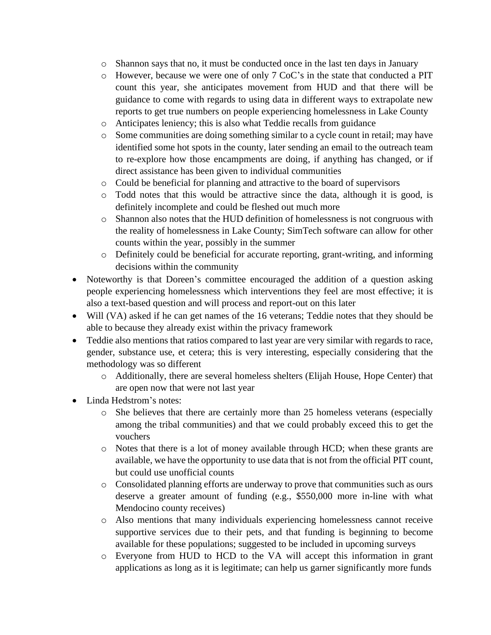- o Shannon says that no, it must be conducted once in the last ten days in January
- o However, because we were one of only 7 CoC's in the state that conducted a PIT count this year, she anticipates movement from HUD and that there will be guidance to come with regards to using data in different ways to extrapolate new reports to get true numbers on people experiencing homelessness in Lake County
- o Anticipates leniency; this is also what Teddie recalls from guidance
- o Some communities are doing something similar to a cycle count in retail; may have identified some hot spots in the county, later sending an email to the outreach team to re-explore how those encampments are doing, if anything has changed, or if direct assistance has been given to individual communities
- o Could be beneficial for planning and attractive to the board of supervisors
- o Todd notes that this would be attractive since the data, although it is good, is definitely incomplete and could be fleshed out much more
- o Shannon also notes that the HUD definition of homelessness is not congruous with the reality of homelessness in Lake County; SimTech software can allow for other counts within the year, possibly in the summer
- o Definitely could be beneficial for accurate reporting, grant-writing, and informing decisions within the community
- Noteworthy is that Doreen's committee encouraged the addition of a question asking people experiencing homelessness which interventions they feel are most effective; it is also a text-based question and will process and report-out on this later
- Will (VA) asked if he can get names of the 16 veterans; Teddie notes that they should be able to because they already exist within the privacy framework
- Teddie also mentions that ratios compared to last year are very similar with regards to race, gender, substance use, et cetera; this is very interesting, especially considering that the methodology was so different
	- o Additionally, there are several homeless shelters (Elijah House, Hope Center) that are open now that were not last year
- Linda Hedstrom's notes:
	- o She believes that there are certainly more than 25 homeless veterans (especially among the tribal communities) and that we could probably exceed this to get the vouchers
	- o Notes that there is a lot of money available through HCD; when these grants are available, we have the opportunity to use data that is not from the official PIT count, but could use unofficial counts
	- o Consolidated planning efforts are underway to prove that communities such as ours deserve a greater amount of funding (e.g., \$550,000 more in-line with what Mendocino county receives)
	- o Also mentions that many individuals experiencing homelessness cannot receive supportive services due to their pets, and that funding is beginning to become available for these populations; suggested to be included in upcoming surveys
	- o Everyone from HUD to HCD to the VA will accept this information in grant applications as long as it is legitimate; can help us garner significantly more funds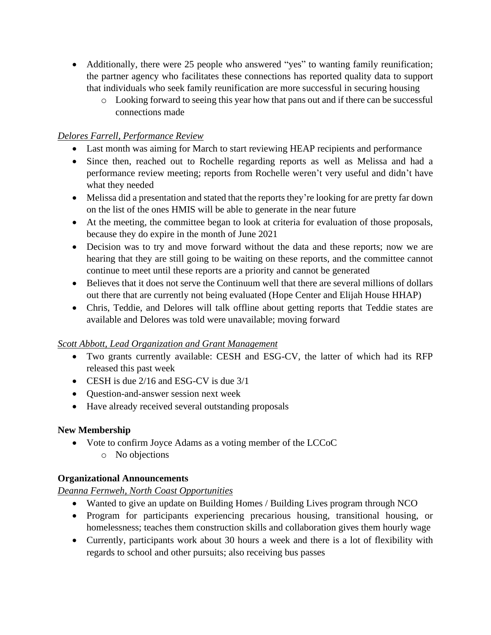- Additionally, there were 25 people who answered "yes" to wanting family reunification; the partner agency who facilitates these connections has reported quality data to support that individuals who seek family reunification are more successful in securing housing
	- o Looking forward to seeing this year how that pans out and if there can be successful connections made

## *Delores Farrell, Performance Review*

- Last month was aiming for March to start reviewing HEAP recipients and performance
- Since then, reached out to Rochelle regarding reports as well as Melissa and had a performance review meeting; reports from Rochelle weren't very useful and didn't have what they needed
- Melissa did a presentation and stated that the reports they're looking for are pretty far down on the list of the ones HMIS will be able to generate in the near future
- At the meeting, the committee began to look at criteria for evaluation of those proposals, because they do expire in the month of June 2021
- Decision was to try and move forward without the data and these reports; now we are hearing that they are still going to be waiting on these reports, and the committee cannot continue to meet until these reports are a priority and cannot be generated
- Believes that it does not serve the Continuum well that there are several millions of dollars out there that are currently not being evaluated (Hope Center and Elijah House HHAP)
- Chris, Teddie, and Delores will talk offline about getting reports that Teddie states are available and Delores was told were unavailable; moving forward

## *Scott Abbott, Lead Organization and Grant Management*

- Two grants currently available: CESH and ESG-CV, the latter of which had its RFP released this past week
- CESH is due 2/16 and ESG-CV is due 3/1
- Question-and-answer session next week
- Have already received several outstanding proposals

# **New Membership**

- Vote to confirm Joyce Adams as a voting member of the LCCoC
	- o No objections

# **Organizational Announcements**

*Deanna Fernweh, North Coast Opportunities*

- Wanted to give an update on Building Homes / Building Lives program through NCO
- Program for participants experiencing precarious housing, transitional housing, or homelessness; teaches them construction skills and collaboration gives them hourly wage
- Currently, participants work about 30 hours a week and there is a lot of flexibility with regards to school and other pursuits; also receiving bus passes